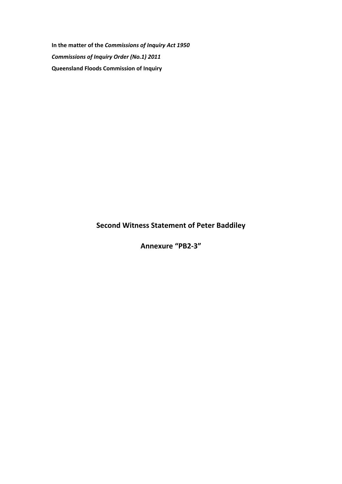**In the matter of the** *Commissions of Inquiry Act 1950 Commissions of Inquiry Order (No.1) 2011* **Queensland Floods Commission of Inquiry** 

### **Second Witness Statement of Peter Baddiley**

**Annexure "PB2-3"**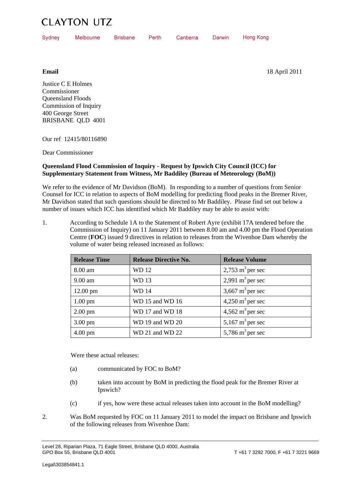## **CLAYTON UTZ**

| Sydney | Melbourne | Brisbane | <b>Perth</b> | Canberra | Darwin Hong Kong |
|--------|-----------|----------|--------------|----------|------------------|
|        |           |          |              |          |                  |

**Email**

18 April 2011

Justice C E Holmes Commissioner Queensland Floods Commission of Inquiry 400 George Street BRISBANE QLD 4001

Our ref 12415/80116890

Dear Commissioner

#### **Queensland Flood Commission of Inquiry - Request by Ipswich City Council (ICC) for Supplementary Statement from Witness, Mr Baddiley (Bureau of Meteorology (BoM))**

We refer to the evidence of Mr Davidson (BoM). In responding to a number of questions from Senior Counsel for ICC in relation to aspects of BoM modelling for predicting flood peaks in the Bremer River, Mr Davidson stated that such questions should be directed to Mr Baddiley. Please find set out below a number of issues which ICC has identified which Mr Baddiley may be able to assist with:

1. According to Schedule 1A to the Statement of Robert Ayre (exhibit 17A tendered before the Commission of Inquiry) on 11 January 2011 between 8.00 am and 4.00 pm the Flood Operation Centre (**FOC**) issued 9 directives in relation to releases from the Wivenhoe Dam whereby the volume of water being released increased as follows:

| <b>Release Time</b> | <b>Release Directive No.</b> | <b>Release Volume</b>               |
|---------------------|------------------------------|-------------------------------------|
| 8.00 am             | WD 12                        | $2,753$ m <sup>3</sup> per sec      |
| 9.00 am             | <b>WD13</b>                  | 2,991 $m^3$ per sec                 |
| $12.00$ pm          | <b>WD14</b>                  | 3,667 $m^3$ per sec                 |
| $1.00 \text{ pm}$   | WD 15 and WD 16              | $4,250 \text{ m}^3 \text{ per sec}$ |
| $2.00 \text{ pm}$   | WD 17 and WD 18              | $4,562$ m <sup>3</sup> per sec      |
| $3.00 \text{ pm}$   | WD 19 and WD 20              | 5,167 $m^3$ per sec                 |
| $4.00 \text{ pm}$   | WD 21 and WD 22              | 5,786 $m^3$ per sec                 |

Were these actual releases:

- (a) communicated by FOC to BoM?
- (b) taken into account by BoM in predicting the flood peak for the Bremer River at Ipswich?
- (c) if yes, how were these actual releases taken into account in the BoM modelling?
- 2. Was BoM requested by FOC on 11 January 2011 to model the impact on Brisbane and Ipswich of the following releases from Wivenhoe Dam:

Level 28, Riparian Plaza, 71 Eagle Street, Brisbane QLD 4000, Australia<br>GPO Box 55. Brisbane QLD 4001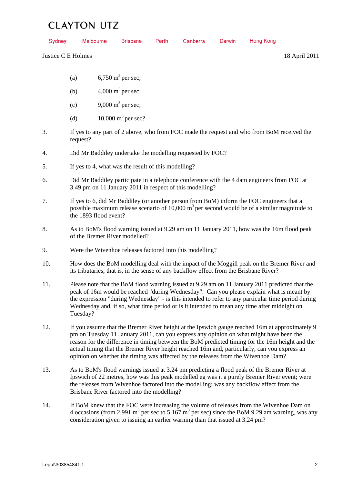# CLAVTON LITZ

| Sydney |                                                                                                                                                                                                                                                                                                                                                                                                                                                                                  | <b>Melbourne</b>                                         | <b>Brisbane</b>                             | Perth | Canberra                                                                                                                                                                                | Darwin | <b>Hong Kong</b> |                                                                                                                                                                                                                    |
|--------|----------------------------------------------------------------------------------------------------------------------------------------------------------------------------------------------------------------------------------------------------------------------------------------------------------------------------------------------------------------------------------------------------------------------------------------------------------------------------------|----------------------------------------------------------|---------------------------------------------|-------|-----------------------------------------------------------------------------------------------------------------------------------------------------------------------------------------|--------|------------------|--------------------------------------------------------------------------------------------------------------------------------------------------------------------------------------------------------------------|
|        | Justice C E Holmes                                                                                                                                                                                                                                                                                                                                                                                                                                                               |                                                          |                                             |       |                                                                                                                                                                                         |        |                  | 18 April 2011                                                                                                                                                                                                      |
|        |                                                                                                                                                                                                                                                                                                                                                                                                                                                                                  |                                                          |                                             |       |                                                                                                                                                                                         |        |                  |                                                                                                                                                                                                                    |
|        | (a)                                                                                                                                                                                                                                                                                                                                                                                                                                                                              |                                                          | 6,750 m <sup>3</sup> per sec;               |       |                                                                                                                                                                                         |        |                  |                                                                                                                                                                                                                    |
|        | (b)                                                                                                                                                                                                                                                                                                                                                                                                                                                                              |                                                          | 4,000 m <sup>3</sup> per sec;               |       |                                                                                                                                                                                         |        |                  |                                                                                                                                                                                                                    |
|        | (c)                                                                                                                                                                                                                                                                                                                                                                                                                                                                              |                                                          | 9,000 m <sup>3</sup> per sec;               |       |                                                                                                                                                                                         |        |                  |                                                                                                                                                                                                                    |
|        | (d)                                                                                                                                                                                                                                                                                                                                                                                                                                                                              |                                                          | 10,000 $m^3$ per sec?                       |       |                                                                                                                                                                                         |        |                  |                                                                                                                                                                                                                    |
| 3.     | If yes to any part of 2 above, who from FOC made the request and who from BoM received the<br>request?                                                                                                                                                                                                                                                                                                                                                                           |                                                          |                                             |       |                                                                                                                                                                                         |        |                  |                                                                                                                                                                                                                    |
| 4.     | Did Mr Baddiley undertake the modelling requested by FOC?                                                                                                                                                                                                                                                                                                                                                                                                                        |                                                          |                                             |       |                                                                                                                                                                                         |        |                  |                                                                                                                                                                                                                    |
| 5.     | If yes to 4, what was the result of this modelling?                                                                                                                                                                                                                                                                                                                                                                                                                              |                                                          |                                             |       |                                                                                                                                                                                         |        |                  |                                                                                                                                                                                                                    |
| 6.     | Did Mr Baddiley participate in a telephone conference with the 4 dam engineers from FOC at<br>3.49 pm on 11 January 2011 in respect of this modelling?                                                                                                                                                                                                                                                                                                                           |                                                          |                                             |       |                                                                                                                                                                                         |        |                  |                                                                                                                                                                                                                    |
| 7.     | If yes to 6, did Mr Baddiley (or another person from BoM) inform the FOC engineers that a<br>possible maximum release scenario of 10,000 $m3$ per second would be of a similar magnitude to<br>the 1893 flood event?                                                                                                                                                                                                                                                             |                                                          |                                             |       |                                                                                                                                                                                         |        |                  |                                                                                                                                                                                                                    |
| 8.     | As to BoM's flood warning issued at 9.29 am on 11 January 2011, how was the 16m flood peak<br>of the Bremer River modelled?                                                                                                                                                                                                                                                                                                                                                      |                                                          |                                             |       |                                                                                                                                                                                         |        |                  |                                                                                                                                                                                                                    |
| 9.     |                                                                                                                                                                                                                                                                                                                                                                                                                                                                                  | Were the Wivenhoe releases factored into this modelling? |                                             |       |                                                                                                                                                                                         |        |                  |                                                                                                                                                                                                                    |
| 10.    | How does the BoM modelling deal with the impact of the Moggill peak on the Bremer River and<br>its tributaries, that is, in the sense of any backflow effect from the Brisbane River?                                                                                                                                                                                                                                                                                            |                                                          |                                             |       |                                                                                                                                                                                         |        |                  |                                                                                                                                                                                                                    |
| 11.    | Please note that the BoM flood warning issued at 9.29 am on 11 January 2011 predicted that the<br>peak of 16m would be reached "during Wednesday". Can you please explain what is meant by<br>the expression "during Wednesday" - is this intended to refer to any particular time period during<br>Wednesday and, if so, what time period or is it intended to mean any time after midnight on<br>Tuesday?                                                                      |                                                          |                                             |       |                                                                                                                                                                                         |        |                  |                                                                                                                                                                                                                    |
| 12.    | If you assume that the Bremer River height at the Ipswich gauge reached 16m at approximately 9<br>pm on Tuesday 11 January 2011, can you express any opinion on what might have been the<br>reason for the difference in timing between the BoM predicted timing for the 16m height and the<br>actual timing that the Bremer River height reached 16m and, particularly, can you express an<br>opinion on whether the timing was affected by the releases from the Wivenhoe Dam? |                                                          |                                             |       |                                                                                                                                                                                         |        |                  |                                                                                                                                                                                                                    |
| 13.    |                                                                                                                                                                                                                                                                                                                                                                                                                                                                                  |                                                          | Brisbane River factored into the modelling? |       | As to BoM's flood warnings issued at 3.24 pm predicting a flood peak of the Bremer River at<br>the releases from Wivenhoe factored into the modelling; was any backflow effect from the |        |                  | Ipswich of 22 metres, how was this peak modelled eg was it a purely Bremer River event; were                                                                                                                       |
| 14.    |                                                                                                                                                                                                                                                                                                                                                                                                                                                                                  |                                                          |                                             |       |                                                                                                                                                                                         |        |                  | If BoM knew that the FOC were increasing the volume of releases from the Wivenhoe Dam on<br>4 occasions (from 2,991 m <sup>3</sup> per sec to 5,167 m <sup>3</sup> per sec) since the BoM 9.29 am warning, was any |

consideration given to issuing an earlier warning than that issued at 3.24 pm?